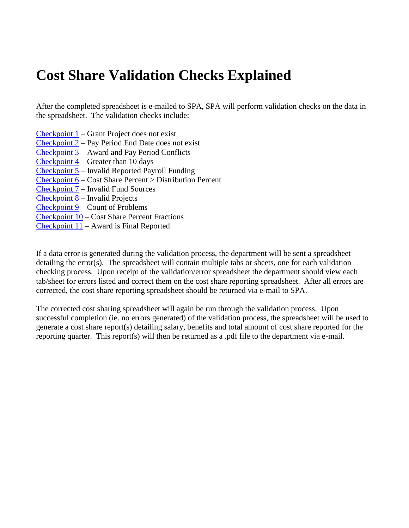## **Cost Share Validation Checks Explained**

After the completed spreadsheet is e-mailed to SPA, SPA will perform validation checks on the data in the spreadsheet. The validation checks include:

- $\frac{\text{Checkpoint 1}}{\text{Start Project}}$  $\frac{\text{Checkpoint 1}}{\text{Start Project}}$  $\frac{\text{Checkpoint 1}}{\text{Start Project}}$  does not exist
- [Checkpoint 2](#page-2-0) Pay Period End Date does not exist
- [Checkpoint 3](#page-3-0) Award and Pay Period Conflicts
- [Checkpoint 4](#page-4-0) Greater than 10 days
- [Checkpoint 5](#page-5-0) Invalid Reported Payroll Funding
- [Checkpoint 6](#page-6-0) Cost Share Percent > Distribution Percent
- [Checkpoint 7](#page-8-0) Invalid Fund Sources
- [Checkpoint 8](#page-9-0) Invalid Projects
- [Checkpoint 9](#page-10-0) Count of Problems
- [Checkpoint 10](#page-10-1) Cost Share Percent Fractions
- [Checkpoint 11](#page-10-2) Award is Final Reported

If a data error is generated during the validation process, the department will be sent a spreadsheet detailing the error(s). The spreadsheet will contain multiple tabs or sheets, one for each validation checking process. Upon receipt of the validation/error spreadsheet the department should view each tab/sheet for errors listed and correct them on the cost share reporting spreadsheet. After all errors are corrected, the cost share reporting spreadsheet should be returned via e-mail to SPA.

The corrected cost sharing spreadsheet will again be run through the validation process. Upon successful completion (ie. no errors generated) of the validation process, the spreadsheet will be used to generate a cost share report(s) detailing salary, benefits and total amount of cost share reported for the reporting quarter. This report(s) will then be returned as a .pdf file to the department via e-mail.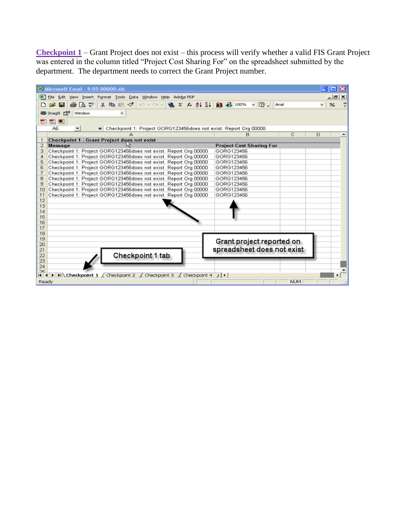<span id="page-1-0"></span>**Checkpoint 1** – Grant Project does not exist – this process will verify whether a valid FIS Grant Project was entered in the column titled "Project Cost Sharing For" on the spreadsheet submitted by the department. The department needs to correct the Grant Project number.

|          | Microsoft Excel - 9-05 00000.xls                                                                                           |                                 |               |
|----------|----------------------------------------------------------------------------------------------------------------------------|---------------------------------|---------------|
|          | 图 File Edit View Insert Format Tools Data Window Help Adobe PDF                                                            |                                 | $  E  \times$ |
|          | ※晒肥ダ ローロー ● Σ た 2↓ 3↓   ■ 弔 100% → ② ↓   Arial<br>68 Q Y<br>œ.<br>H                                                        |                                 | %             |
|          | 的 Snaglt 图<br>Window<br>۰                                                                                                  |                                 |               |
| ᄘ        | 围制                                                                                                                         |                                 |               |
|          | A6<br>- Checkpoint 1: Project GORG123456does not exist. Report Org 00000<br>۰                                              |                                 |               |
|          |                                                                                                                            | Ċ<br>B                          | D             |
|          | Checkpoint 1 - Grant Project does not exist                                                                                |                                 |               |
| 2        | Message                                                                                                                    | <b>Project Cost Sharing For</b> |               |
| з        | Checkpoint 1: Project GORG123456does not exist. Report Org 00000                                                           | GORG123456                      |               |
| 4        | Checkpoint 1: Project GORG123456does not exist. Report Org 00000                                                           | GORG123456                      |               |
| 5        | Checkpoint 1: Project GORG123456does not exist. Report Org 00000                                                           | GORG123456                      |               |
| 6        | Checkpoint 1: Project GORG123456does not exist. Report Org 00000                                                           | GORG123456                      |               |
| 7        | Checkpoint 1: Project GORG123456does not exist. Report Org 00000                                                           | GORG123456                      |               |
| 8        | Checkpoint 1: Project GORG123456does not exist. Report Org 00000                                                           | GORG123456                      |               |
| 9        | Checkpoint 1: Project GORG123456does not exist. Report Org 00000                                                           | GORG123456                      |               |
| 10       | Checkpoint 1: Project GORG123456does not exist. Report Org 00000                                                           | GORG123456                      |               |
| 11       | Checkpoint 1: Project GORG123456does not exist. Report Org 00000                                                           | GORG123456                      |               |
| 12       |                                                                                                                            |                                 |               |
| 13       |                                                                                                                            |                                 |               |
| 14       |                                                                                                                            |                                 |               |
| 15       |                                                                                                                            |                                 |               |
| 16       |                                                                                                                            |                                 |               |
| 17       |                                                                                                                            |                                 |               |
| 18       |                                                                                                                            |                                 |               |
| 19       |                                                                                                                            | Grant project reported on       |               |
| 20       |                                                                                                                            |                                 |               |
| 21       |                                                                                                                            | spreadsheet does not exist      |               |
| 22       | Checkpoint 1 tab                                                                                                           |                                 |               |
| 23<br>24 |                                                                                                                            |                                 |               |
| 25       |                                                                                                                            |                                 |               |
| 1414     | $\blacktriangleright$ $\blacktriangleright$ Checkpoint 1 $\angle$ Checkpoint 2 $\angle$ Checkpoint 3 $\angle$ Checkpoint 4 | $\lambda$   4                   |               |
| Ready    |                                                                                                                            | <b>NUM</b>                      |               |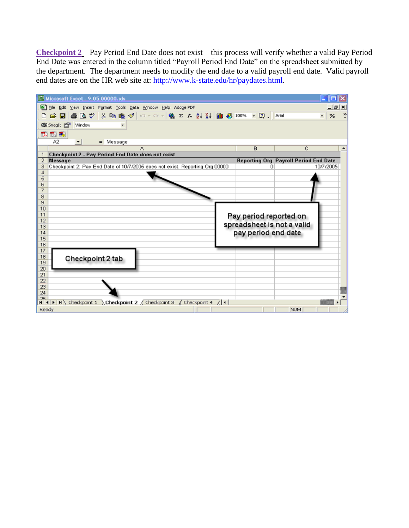<span id="page-2-0"></span>**Checkpoint 2** – Pay Period End Date does not exist – this process will verify whether a valid Pay Period End Date was entered in the column titled "Payroll Period End Date" on the spreadsheet submitted by the department. The department needs to modify the end date to a valid payroll end date. Valid payroll end dates are on the HR web site at: [http://www.k-state.edu/hr/paydates.html.](http://www.k-state.edu/hr/paydates.html)

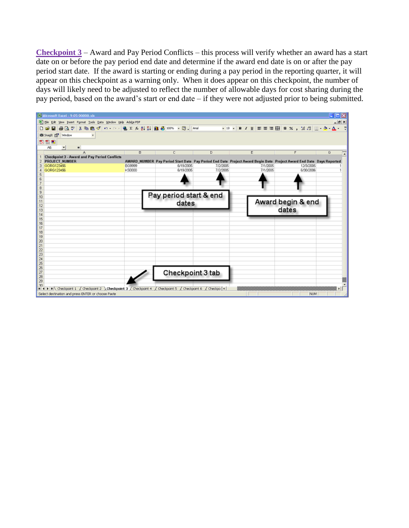<span id="page-3-0"></span>**Checkpoint 3** – Award and Pay Period Conflicts – this process will verify whether an award has a start date on or before the pay period end date and determine if the award end date is on or after the pay period start date. If the award is starting or ending during a pay period in the reporting quarter, it will appear on this checkpoint as a warning only. When it does appear on this checkpoint, the number of days will likely need to be adjusted to reflect the number of allowable days for cost sharing during the pay period, based on the award's start or end date – if they were not adjusted prior to being submitted.

| 23 Microsoft Excel - 9-05 00000.xls                                                                                                   |               |                        |          |                                                                                                                      |                   | <b>IDIX</b>    |
|---------------------------------------------------------------------------------------------------------------------------------------|---------------|------------------------|----------|----------------------------------------------------------------------------------------------------------------------|-------------------|----------------|
| E Ble Edit Vew Insert Format Icols Data Window Help Adobe PDF                                                                         |               |                        |          |                                                                                                                      |                   | $-18$ $\times$ |
| De                                                                                                                                    |               |                        |          |                                                                                                                      |                   |                |
| <b>RSI</b> Snaglit <b>PSI</b> Window                                                                                                  |               |                        |          |                                                                                                                      |                   |                |
|                                                                                                                                       |               |                        |          |                                                                                                                      |                   |                |
| 医包围                                                                                                                                   |               |                        |          |                                                                                                                      |                   |                |
| AБ<br>$\frac{1}{2}$<br>$\blacksquare$<br>А                                                                                            | B             | C.                     | D.       | E                                                                                                                    | F                 | G              |
| Checkpoint 3 - Award and Pay Period Conflicts                                                                                         |               |                        |          |                                                                                                                      |                   |                |
| 2 PROJECT NUMBER                                                                                                                      |               |                        |          | AWARD NUMBER Pay Period Start Date Pay Period End Date Project Award Begin Date Project Award End Date Days Reported |                   |                |
| GORG123456                                                                                                                            | <b>BG9999</b> | 6/19/2005              | 7/2/2005 | 7/1/2005                                                                                                             | 12/3/2005         |                |
| GORG123456                                                                                                                            | KS0000        | 6/19/2005              | 7/2/2005 | 7/1/2005                                                                                                             | 6/30/2006         |                |
|                                                                                                                                       |               |                        |          |                                                                                                                      |                   |                |
|                                                                                                                                       |               |                        |          |                                                                                                                      |                   |                |
| 8                                                                                                                                     |               |                        |          |                                                                                                                      |                   |                |
| 9                                                                                                                                     |               | Pay period start & end |          |                                                                                                                      |                   |                |
| 10                                                                                                                                    |               |                        |          |                                                                                                                      |                   |                |
| 11<br>12                                                                                                                              |               | dates                  |          |                                                                                                                      | Award begin & end |                |
| 13                                                                                                                                    |               |                        |          |                                                                                                                      | dates             |                |
| 14                                                                                                                                    |               |                        |          |                                                                                                                      |                   |                |
| 15                                                                                                                                    |               |                        |          |                                                                                                                      |                   |                |
| 16                                                                                                                                    |               |                        |          |                                                                                                                      |                   |                |
| 17<br>18                                                                                                                              |               |                        |          |                                                                                                                      |                   |                |
| 19                                                                                                                                    |               |                        |          |                                                                                                                      |                   |                |
| 20                                                                                                                                    |               |                        |          |                                                                                                                      |                   |                |
| $^{21}$                                                                                                                               |               |                        |          |                                                                                                                      |                   |                |
| 22                                                                                                                                    |               |                        |          |                                                                                                                      |                   |                |
| 23                                                                                                                                    |               |                        |          |                                                                                                                      |                   |                |
| $\overline{24}$<br>25                                                                                                                 |               |                        |          |                                                                                                                      |                   |                |
| 26                                                                                                                                    |               |                        |          |                                                                                                                      |                   |                |
| 27                                                                                                                                    |               | Checkpoint 3 tab       |          |                                                                                                                      |                   |                |
| 28                                                                                                                                    |               |                        |          |                                                                                                                      |                   |                |
| 29                                                                                                                                    |               |                        |          |                                                                                                                      |                   |                |
| 30 <sub>1</sub><br>III II III (Vieckpoint 1 / Checkpoint 2 ) Checkpoint 3 / Checkpoint 4 / Checkpoint 5 / Checkpoint 6 / Checkpoint 1 |               |                        |          |                                                                                                                      |                   |                |
| Select destination and press ENTER or choose Paste                                                                                    |               |                        |          |                                                                                                                      | <b>NUM</b>        |                |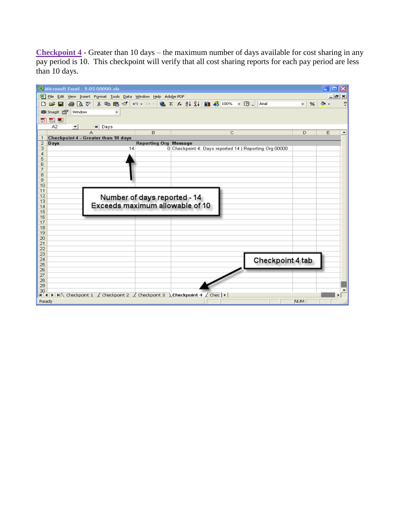<span id="page-4-0"></span>**Checkpoint 4** - Greater than 10 days – the maximum number of days available for cost sharing in any pay period is 10. This checkpoint will verify that all cost sharing reports for each pay period are less than 10 days.

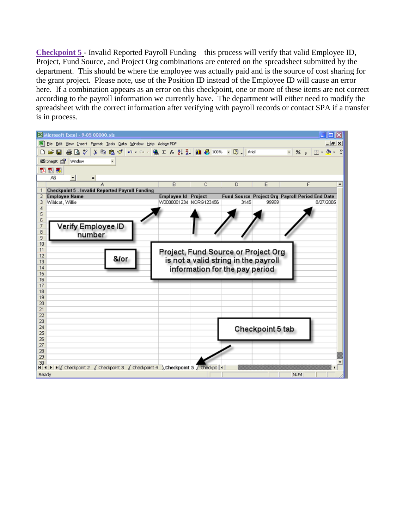<span id="page-5-0"></span>**Checkpoint 5** - Invalid Reported Payroll Funding – this process will verify that valid Employee ID, Project, Fund Source, and Project Org combinations are entered on the spreadsheet submitted by the department. This should be where the employee was actually paid and is the source of cost sharing for the grant project. Please note, use of the Position ID instead of the Employee ID will cause an error here. If a combination appears as an error on this checkpoint, one or more of these items are not correct according to the payroll information we currently have. The department will either need to modify the spreadsheet with the correct information after verifying with payroll records or contact SPA if a transfer is in process.

| E3 Microsoft Excel - 9-05 00000.xls                                                          |                                       |         |                                      |                  | $\Box$ olx                                                   |                  |
|----------------------------------------------------------------------------------------------|---------------------------------------|---------|--------------------------------------|------------------|--------------------------------------------------------------|------------------|
| File Edit View Insert Format Tools Data Window Help Adobe PDF                                |                                       |         |                                      |                  |                                                              | $ B$ $x$         |
| <b>お晒色ダの・○・  亀∑な創科 画形100% • ②。  Arial</b><br>B Q V<br>$D \ncong \blacksquare$                |                                       |         |                                      |                  | ₹∥<br>표 - 최 -<br>$\%$ ,                                      | $\rightarrow$    |
| @D Snaglt 图<br>Window<br>÷                                                                   |                                       |         |                                      |                  |                                                              |                  |
| なおも                                                                                          |                                       |         |                                      |                  |                                                              |                  |
| A6<br>$\blacksquare$<br>Ξ                                                                    |                                       |         |                                      |                  |                                                              |                  |
| A                                                                                            | B                                     | C       | D                                    | E                | F                                                            | $\blacktriangle$ |
| <b>Checkpoint 5 - Invalid Reported Payroll Funding</b>                                       |                                       |         |                                      |                  |                                                              |                  |
| <b>Employee Name</b><br>2<br>Wildcat, Willie                                                 | Employee Id<br>W0000001234 NORG123456 | Project | 3145                                 | 99999            | Fund Source Project Org Payroll Period End Date<br>8/27/2005 |                  |
| 3<br>4                                                                                       |                                       |         |                                      |                  |                                                              |                  |
| 5                                                                                            |                                       |         |                                      |                  |                                                              |                  |
| 6                                                                                            |                                       |         |                                      |                  |                                                              |                  |
| Verify Employee ID<br>7                                                                      |                                       |         |                                      |                  |                                                              |                  |
| 8<br>number<br>9                                                                             |                                       |         |                                      |                  |                                                              |                  |
| 10                                                                                           |                                       |         |                                      |                  |                                                              |                  |
| 11                                                                                           |                                       |         | Project, Fund Source or Project Org  |                  |                                                              |                  |
| 12<br>&/or                                                                                   |                                       |         | is not a valid string in the payroll |                  |                                                              |                  |
| 13<br>14                                                                                     |                                       |         |                                      |                  |                                                              |                  |
| 15                                                                                           |                                       |         | information for the pay period       |                  |                                                              |                  |
| 16                                                                                           |                                       |         |                                      |                  |                                                              |                  |
| 17                                                                                           |                                       |         |                                      |                  |                                                              |                  |
| 18                                                                                           |                                       |         |                                      |                  |                                                              |                  |
| 19<br>20                                                                                     |                                       |         |                                      |                  |                                                              |                  |
| 21                                                                                           |                                       |         |                                      |                  |                                                              |                  |
| 22                                                                                           |                                       |         |                                      |                  |                                                              |                  |
| 23                                                                                           |                                       |         |                                      |                  |                                                              |                  |
| 24<br>25                                                                                     |                                       |         |                                      | Checkpoint 5 tab |                                                              |                  |
| 26                                                                                           |                                       |         |                                      |                  |                                                              |                  |
| 27                                                                                           |                                       |         |                                      |                  |                                                              |                  |
| 28                                                                                           |                                       |         |                                      |                  |                                                              |                  |
| 29                                                                                           |                                       |         |                                      |                  |                                                              |                  |
| 30<br>II I   I   I   Checkpoint 2   Checkpoint 3   Checkpoint 4   Checkpoint 5   Checkpo   1 |                                       |         |                                      |                  |                                                              |                  |
| Ready                                                                                        |                                       |         |                                      |                  | <b>NUM</b>                                                   |                  |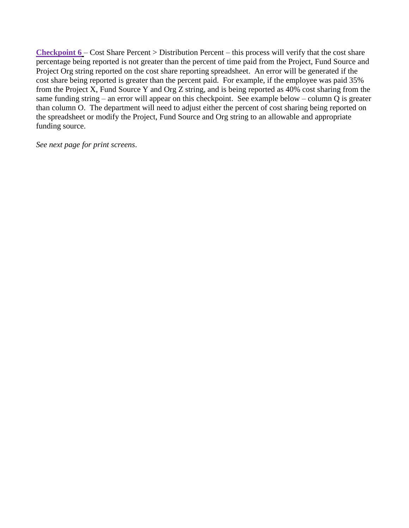<span id="page-6-0"></span>**Checkpoint 6** – Cost Share Percent > Distribution Percent – this process will verify that the cost share percentage being reported is not greater than the percent of time paid from the Project, Fund Source and Project Org string reported on the cost share reporting spreadsheet. An error will be generated if the cost share being reported is greater than the percent paid. For example, if the employee was paid 35% from the Project X, Fund Source Y and Org Z string, and is being reported as 40% cost sharing from the same funding string – an error will appear on this checkpoint. See example below – column Q is greater than column O. The department will need to adjust either the percent of cost sharing being reported on the spreadsheet or modify the Project, Fund Source and Org string to an allowable and appropriate funding source.

*See next page for print screens*.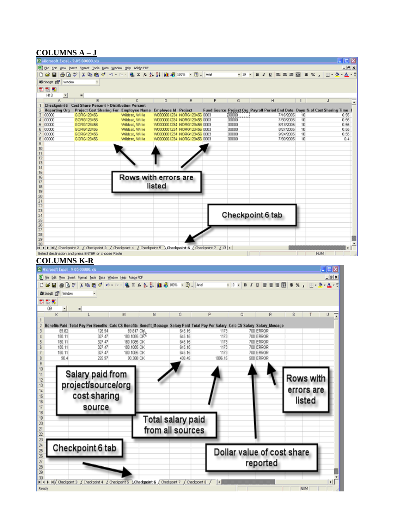## **COLUMNS A – J**

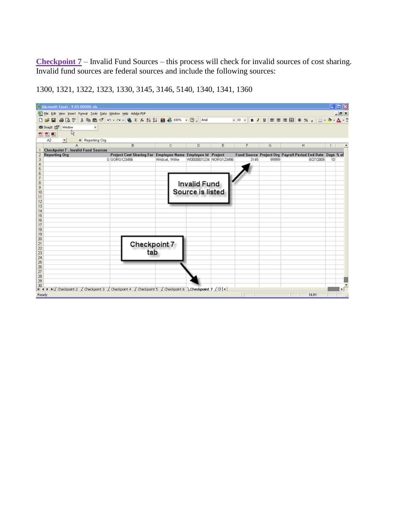<span id="page-8-0"></span>**Checkpoint 7** – Invalid Fund Sources – this process will check for invalid sources of cost sharing. Invalid fund sources are federal sources and include the following sources:

| <sup>23</sup> Microsoft Excel - 9-05 00000.xls               |                                                                            |                 |                        |   |      |       |                                                                        | $\Box$ $\Box$ $\times$ |
|--------------------------------------------------------------|----------------------------------------------------------------------------|-----------------|------------------------|---|------|-------|------------------------------------------------------------------------|------------------------|
| E He Edit Yew Insert Format Tools Data Window Help Adobe PDF |                                                                            |                 |                        |   |      |       |                                                                        | $ B$ $X$               |
| Do≆                                                          |                                                                            |                 |                        |   |      |       |                                                                        |                        |
| 略 Snagit 图 Window                                            |                                                                            |                 |                        |   |      |       |                                                                        |                        |
| ŀζ<br>スカあ                                                    |                                                                            |                 |                        |   |      |       |                                                                        |                        |
| A2<br>$=$ Reporting Org                                      |                                                                            |                 |                        |   |      |       |                                                                        |                        |
| A                                                            | B                                                                          | C.              | D                      | E | F    | G     | н                                                                      |                        |
| Checkpoint 7 - Invalid Fund Sources                          |                                                                            |                 |                        |   |      |       |                                                                        |                        |
| <b>Reporting Org</b><br>2<br>3                               | Project Cost Sharing For Employee Name Employee Id Project<br>0 GORG123456 | Wildcat, Willie | W0000001234 NORG123456 |   | 3145 | 99999 | Fund Source Project Org Payroll Period End Date Days % of<br>8/27/2005 | 10                     |
| 4                                                            |                                                                            |                 |                        |   |      |       |                                                                        |                        |
| 5                                                            |                                                                            |                 |                        |   |      |       |                                                                        |                        |
| 6                                                            |                                                                            |                 |                        |   |      |       |                                                                        |                        |
| 7                                                            |                                                                            |                 |                        |   |      |       |                                                                        |                        |
| 8                                                            |                                                                            |                 | <b>Invalid Fund</b>    |   |      |       |                                                                        |                        |
| 9                                                            |                                                                            |                 |                        |   |      |       |                                                                        |                        |
| 10                                                           |                                                                            |                 | Source is listed       |   |      |       |                                                                        |                        |
| 11                                                           |                                                                            |                 |                        |   |      |       |                                                                        |                        |
| 12<br>13                                                     |                                                                            |                 |                        |   |      |       |                                                                        |                        |
| 14                                                           |                                                                            |                 |                        |   |      |       |                                                                        |                        |
| 15                                                           |                                                                            |                 |                        |   |      |       |                                                                        |                        |
| 16                                                           |                                                                            |                 |                        |   |      |       |                                                                        |                        |
| 17                                                           |                                                                            |                 |                        |   |      |       |                                                                        |                        |
| 18                                                           |                                                                            |                 |                        |   |      |       |                                                                        |                        |
| 19                                                           |                                                                            |                 |                        |   |      |       |                                                                        |                        |
| 20                                                           |                                                                            |                 |                        |   |      |       |                                                                        |                        |
| 21                                                           | <b>Checkpoint 7</b>                                                        |                 |                        |   |      |       |                                                                        |                        |
| $\frac{22}{23}$                                              | tab                                                                        |                 |                        |   |      |       |                                                                        |                        |
| 24                                                           |                                                                            |                 |                        |   |      |       |                                                                        |                        |
|                                                              |                                                                            |                 |                        |   |      |       |                                                                        |                        |
| $\frac{25}{26}$                                              |                                                                            |                 |                        |   |      |       |                                                                        |                        |
| 27                                                           |                                                                            |                 |                        |   |      |       |                                                                        |                        |
| 28                                                           |                                                                            |                 |                        |   |      |       |                                                                        |                        |
| 29                                                           |                                                                            |                 |                        |   |      |       |                                                                        |                        |
| 30                                                           |                                                                            |                 |                        |   |      |       |                                                                        |                        |
|                                                              |                                                                            |                 |                        |   |      |       |                                                                        |                        |
| Ready                                                        |                                                                            |                 |                        |   |      |       | <b>NJM</b>                                                             |                        |

1300, 1321, 1322, 1323, 1330, 3145, 3146, 5140, 1340, 1341, 1360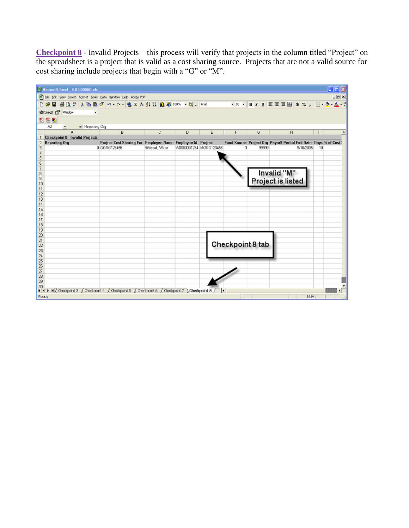<span id="page-9-0"></span>**Checkpoint 8** - Invalid Projects – this process will verify that projects in the column titled "Project" on the spreadsheet is a project that is valid as a cost sharing source. Projects that are not a valid source for cost sharing include projects that begin with a "G" or "M".

|                | $\Box$<br>Microsoft Excel - 9-05 00000.xls                                                            |                                                            |                 |                        |   |                  |       |                                                                 |            |    |          |
|----------------|-------------------------------------------------------------------------------------------------------|------------------------------------------------------------|-----------------|------------------------|---|------------------|-------|-----------------------------------------------------------------|------------|----|----------|
|                | [8] File Edit View Insert Format Tools Data Window Help Adobe PDF                                     |                                                            |                 |                        |   |                  |       |                                                                 |            |    | $ B$ $x$ |
|                |                                                                                                       |                                                            |                 |                        |   |                  |       |                                                                 |            |    |          |
|                | CB Snagit Par Window                                                                                  |                                                            |                 |                        |   |                  |       |                                                                 |            |    |          |
|                | 製包製                                                                                                   |                                                            |                 |                        |   |                  |       |                                                                 |            |    |          |
|                | Α2<br>Reporting Org<br>$\overline{\mathbf{r}}$                                                        |                                                            |                 |                        |   |                  |       |                                                                 |            |    |          |
|                | A                                                                                                     | в                                                          | c               | D                      | Ε | F                | G     | H                                                               |            |    |          |
|                | 1 Checkpoint 8 - Invalid Projects                                                                     |                                                            |                 |                        |   |                  |       |                                                                 |            |    |          |
|                | 2 Reporting Org                                                                                       | Project Cost Sharing For Employee Name Employee Id Project |                 |                        |   |                  |       | Fund Source Project Org Payroll Period End Date Days % of Cost: |            |    |          |
| 3<br>4         |                                                                                                       | 0 GORG123456                                               | Wildcat, Willie | VA000001234 MORG123456 |   | 31               | 99999 |                                                                 | 9/10/2005  | 10 |          |
| 5              |                                                                                                       |                                                            |                 |                        |   |                  |       |                                                                 |            |    |          |
| 6              |                                                                                                       |                                                            |                 |                        |   |                  |       |                                                                 |            |    |          |
| 7              |                                                                                                       |                                                            |                 |                        |   |                  |       |                                                                 |            |    |          |
| 8              |                                                                                                       |                                                            |                 |                        |   |                  |       | Invalid "M"                                                     |            |    |          |
| 9              |                                                                                                       |                                                            |                 |                        |   |                  |       |                                                                 |            |    |          |
| 10             |                                                                                                       |                                                            |                 |                        |   |                  |       | Project is listed                                               |            |    |          |
| 11             |                                                                                                       |                                                            |                 |                        |   |                  |       |                                                                 |            |    |          |
| 12             |                                                                                                       |                                                            |                 |                        |   |                  |       |                                                                 |            |    |          |
| 13             |                                                                                                       |                                                            |                 |                        |   |                  |       |                                                                 |            |    |          |
| 14             |                                                                                                       |                                                            |                 |                        |   |                  |       |                                                                 |            |    |          |
| 15             |                                                                                                       |                                                            |                 |                        |   |                  |       |                                                                 |            |    |          |
| 16             |                                                                                                       |                                                            |                 |                        |   |                  |       |                                                                 |            |    |          |
| 17             |                                                                                                       |                                                            |                 |                        |   |                  |       |                                                                 |            |    |          |
| 18<br>19       |                                                                                                       |                                                            |                 |                        |   |                  |       |                                                                 |            |    |          |
| 20             |                                                                                                       |                                                            |                 |                        |   |                  |       |                                                                 |            |    |          |
| 21             |                                                                                                       |                                                            |                 |                        |   |                  |       |                                                                 |            |    |          |
| $\overline{2}$ |                                                                                                       |                                                            |                 |                        |   | Checkpoint 8 tab |       |                                                                 |            |    |          |
| 23             |                                                                                                       |                                                            |                 |                        |   |                  |       |                                                                 |            |    |          |
| 24             |                                                                                                       |                                                            |                 |                        |   |                  |       |                                                                 |            |    |          |
| 25             |                                                                                                       |                                                            |                 |                        |   |                  |       |                                                                 |            |    |          |
| 26             |                                                                                                       |                                                            |                 |                        |   |                  |       |                                                                 |            |    |          |
| 27             |                                                                                                       |                                                            |                 |                        |   |                  |       |                                                                 |            |    |          |
| 28             |                                                                                                       |                                                            |                 |                        |   |                  |       |                                                                 |            |    |          |
| 29             |                                                                                                       |                                                            |                 |                        |   |                  |       |                                                                 |            |    |          |
| 30             | H 4 F HI/ Checkpoint 3 / Checkpoint 4 / Checkpoint 5 / Checkpoint 6 / Checkpoint 7 \ Checkpoint 8 / 4 |                                                            |                 |                        |   |                  |       |                                                                 |            |    |          |
| Ready          |                                                                                                       |                                                            |                 |                        |   |                  |       |                                                                 | <b>NUM</b> |    |          |